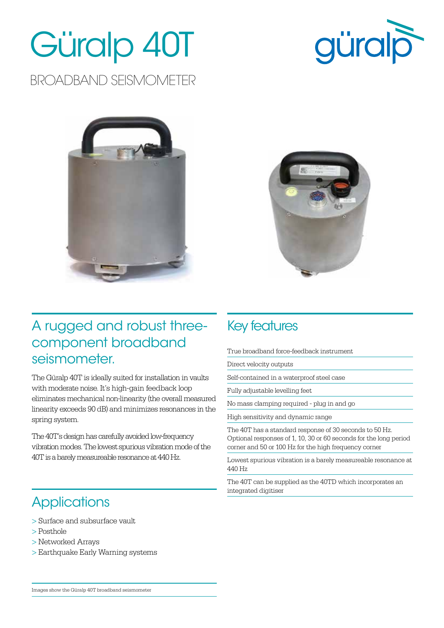# Güralp 40T

#### BROADBAND SEISMOMETER







#### A rugged and robust threecomponent broadband seismometer.

The Güralp 40T is ideally suited for installation in vaults with moderate noise. It's high-gain feedback loop eliminates mechanical non-linearity (the overall measured linearity exceeds 90 dB) and minimizes resonances in the spring system.

The 40T's design has carefully avoided low-frequency vibration modes. The lowest spurious vibration mode of the 40T is a barely measureable resonance at 440 Hz.

#### Key features

True broadband force-feedback instrument

Direct velocity outputs

Self-contained in a waterproof steel case

Fully adjustable levelling feet

No mass clamping required - plug in and go

High sensitivity and dynamic range

The 40T has a standard response of 30 seconds to 50 Hz. Optional responses of 1, 10, 30 or 60 seconds for the long period corner and 50 or 100 Hz for the high frequency corner

Lowest spurious vibration is a barely measureable resonance at 440 Hz

The 40T can be supplied as the 40TD which incorporates an integrated digitiser

#### **Applications**

- > Surface and subsurface vault
- > Posthole
- > Networked Arrays
- > Earthquake Early Warning systems